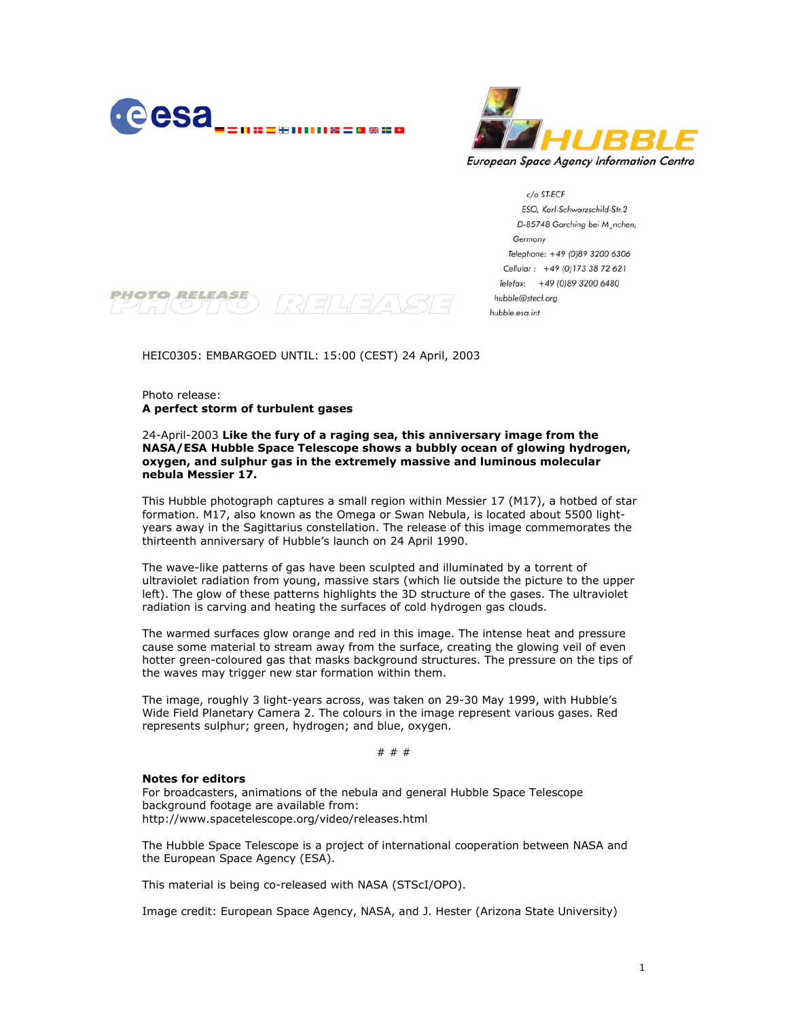



c/o ST-ECF ESO, Karl-Schwarzschild-Str.2 D-85748 Garching bei M. nchen, Germany Telephone: +49 (0)89 3200 6306 Cellular: +49 (0)173 38 72 621 Telefax: +49 (0)89 3200 6480 hubble@stecf.org hubble.esa.int



HEIC0305: EMBARGOED UNTIL: 15:00 (CEST) 24 April, 2003

Photo release: **A perfect storm of turbulent gases** 

## 24-April-2003 **Like the fury of a raging sea, this anniversary image from the NASA/ESA Hubble Space Telescope shows a bubbly ocean of glowing hydrogen, oxygen, and sulphur gas in the extremely massive and luminous molecular nebula Messier 17.**

This Hubble photograph captures a small region within Messier 17 (M17), a hotbed of star formation. M17, also known as the Omega or Swan Nebula, is located about 5500 lightyears away in the Sagittarius constellation. The release of this image commemorates the thirteenth anniversary of Hubble's launch on 24 April 1990.

The wave-like patterns of gas have been sculpted and illuminated by a torrent of ultraviolet radiation from young, massive stars (which lie outside the picture to the upper left). The glow of these patterns highlights the 3D structure of the gases. The ultraviolet radiation is carving and heating the surfaces of cold hydrogen gas clouds.

The warmed surfaces glow orange and red in this image. The intense heat and pressure cause some material to stream away from the surface, creating the glowing veil of even hotter green-coloured gas that masks background structures. The pressure on the tips of the waves may trigger new star formation within them.

The image, roughly 3 light-years across, was taken on 29-30 May 1999, with Hubble's Wide Field Planetary Camera 2. The colours in the image represent various gases. Red represents sulphur; green, hydrogen; and blue, oxygen.

# # #

## **Notes for editors**

For broadcasters, animations of the nebula and general Hubble Space Telescope background footage are available from: http://www.spacetelescope.org/video/releases.html

The Hubble Space Telescope is a project of international cooperation between NASA and the European Space Agency (ESA).

This material is being co-released with NASA (STScI/OPO).

Image credit: European Space Agency, NASA, and J. Hester (Arizona State University)